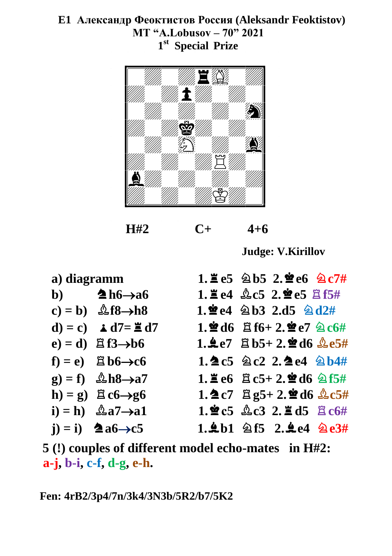## **E1 Александр Феоктистов Россия (Aleksandr Feoktistov) MT "A.Lobusov – 70" 2021 1 st Special Prize**



 **H#2 C+ 4+6**

**Judge: V.Kirillov**

| a) diagramm |                                             | 1. $\leq$ e5 $\&$ b5 2. $\leq$ e6 $\&$ c7#             |
|-------------|---------------------------------------------|--------------------------------------------------------|
|             | b) $\triangle$ h6 $\rightarrow$ a6          | 1. $\leq$ e4 $\&$ c5 2. $\leq$ e5 $\leq$ f5#           |
|             | $c) = b$ ) $\&f8 \rightarrow h8$            | $1.$ $2e4 \triangle 03$ $2.15 \triangle 012#$          |
|             | d) = c) $\angle$ d7= $\angle$ d7            | $1.$ 2 d6 $E$ f6+ 2.2 e7 $2c$ 6#                       |
|             | $e) = d$ ) $\mathbb{E} f3 \rightarrow b6$   | 1.4e7 $B_{b}5+2.2$ d6 $A_{c}65#$                       |
|             | $f$ ) = e) $\mathbb{E}$ b6 $\rightarrow$ c6 | 1. $2c5$ 2c2 2. $2e4$ 2b4#                             |
|             | $g$ ) = f) $\&b$ h8 $\rightarrow a7$        | 1. $\leq$ e6 $\leq$ c5+ 2. $\leq$ d6 $\leq$ f5#        |
|             | h) = g) $\angle$ c6 $\rightarrow$ g6        | $1.2c7$ $2.95 + 2.2d6$ $2c5#$                          |
|             | $i) = h$ ) $\&a7 \rightarrow a1$            | $1.\,\,2c5.\,\,2c3.\,\,2.\,\,2d5.\,\,2c6\,\,4$         |
|             | $(i) = i$ $\triangleq a6 \rightarrow c5$    | 1.4b1 $\textcircled{2}$ f5 2.4e4 $\textcircled{2}$ e3# |

**5 (!) couples of different model echo-mates in H#2: a-j, b-i, c-f, d-g, e-h.** 

**Fen: 4rB2/3p4/7n/3k4/3N3b/5R2/b7/5K2**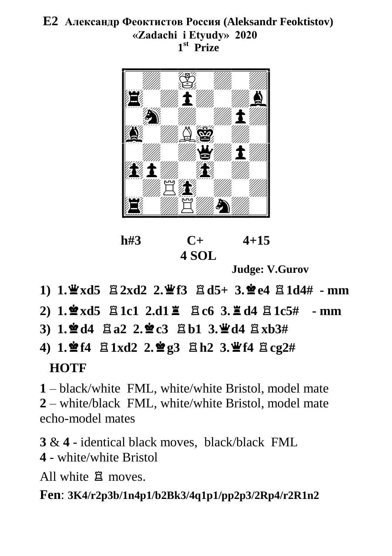# **E2 Александр Феоктистов Россия (Aleksandr Feoktistov) «Zadachi i Etyudy» 2020 1 st Prize**



**h#3 C+ 4+15 4 SOL**

**Judge: V.Gurov**

- **1)** 1.  $\mathbf{\mathbf{\Psi}}$ xd5  $\mathbf{\Xi}$ **2xd2 2.**  $\mathbf{\mathbf{\Psi}}$ f3  $\mathbf{\Xi}$ d5+ 3.  $\mathbf{\mathbf{\Phi}}$ e4  $\mathbf{\Xi}$ 1d4# mm
- $2)$  1. $\frac{1}{2}$  xd5  $\frac{1}{2}$  1c1 2.d1  $\frac{1}{2}$   $\frac{1}{2}$  c6 3. $\frac{1}{2}$  d4  $\frac{1}{2}$  1c5# mm
- $3)$  1. $\mathbf{\hat{Z}}$ d4  $\mathbf{\hat{Z}}$ a2 2. $\mathbf{\hat{Z}}$ c3  $\mathbf{\hat{Z}}$ b1 3. $\mathbf{\hat{Z}}$ d4  $\mathbf{\hat{Z}}$ xb3#
- **4) 1.**7**f4** q**1xd2 2.**7**g3** q**h2 3.**3**f4** q**cg2# HOTF**

**1** – black/white FML, white/white Bristol, model mate **2** – white/black FML, white/white Bristol, model mate echo-model mates

**3** & **4** - identical black moves, black/black FML **4** - white/white Bristol

All white  $\beta$  moves.

**Fen**: **3K4/r2p3b/1n4p1/b2Bk3/4q1p1/pp2p3/2Rp4/r2R1n2**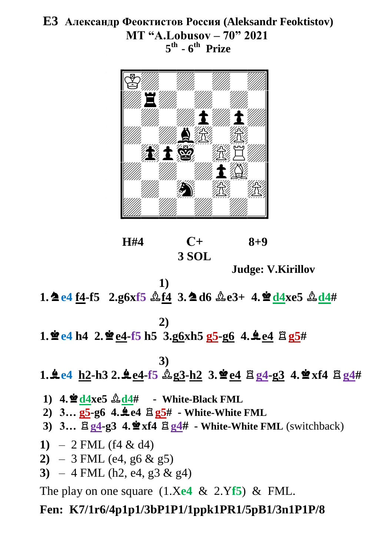# **E3 Александр Феоктистов Россия (Aleksandr Feoktistov) MT "A.Lobusov – 70" 2021 5 th - 6 th Prize**



 **H#4 С+ 8+9 3 SOL** 

**Judge: V.Kirillov**

**1.**  $\triangle$  e4 f4-f5 2.g6xf5  $\triangle$  f4 3.  $\triangle$  d6  $\triangle$  e3+ 4.  $\triangle$  d4xe5  $\triangle$  d4#

$$
\mathcal{L}_{\mathcal{A}}
$$

**1)**

**2)**

 $1.$  $\frac{4}{3}$   $e4$  **h4**  $2.$  $\frac{4}{3}$   $e4$ -**f5 h5**  $3.$ **g6**x**h5 g5**-**g6**  $4.$  $\frac{4}{3}$   $e4$   $\frac{8}{3}$ **g5**#

**3)**

**1.±e4** h2-h3 2.**±e4-f5**  $\&$ **g3-h2** 3.**\*e4**  $\&$ **g4-g3** 4.**\*xf4**  $\&$  **g4**#

 $1)$  **4.** $\frac{\mathbf{6}}{4}$ **d** $4$ xe5  $\frac{\mathbf{6}}{4}$ **d** $4$ # - White-Black FML

 $2)$   $3...$   $g5-g6$   $4.\n4.$  $e4$   $\Xi$   $g5#$   $\Xi$  White-White FML

- **3) 3…** q**g4-g3 4.**7**xf4** q**g4# - White-White FML** (switchback)
- 1)  $-2$  FML (f4 & d4)
- **2)** 3 FML (e4, g6 & g5)
- **3)**  $-4$  FML (h2, e4, g3 & g4)

The play on one square (1.X**e4** & 2.Y**f5**) & FML.

## **Fen: K7/1r6/4p1p1/3bP1P1/1ppk1PR1/5pB1/3n1P1P/8**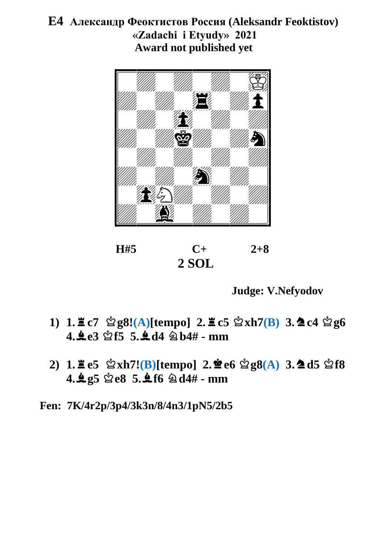## **E4 Александр Феоктистов Россия (Aleksandr Feoktistov) «Zadachi i Etyudy» 2021 Award not published yet**



 $H#5$   $C+$   $2+8$  **2 SOL**

**Judge: V.Nefyodov**

- **1) 1.** $\angle E$  **c7**  $\triangle 2$  **g8!**(**A**)[tempo] **2.** $\angle E$  **c5**  $\triangle 2$ **xh7(B**) **3.** $\triangle 2$  **c4**  $\triangle 2$  **g6**  $4.4e3$   $\%$ f5 5. $4d4$   $\%$   $h4#$  - mm
- **2) 1.** $\Xi$  **e5**  $\mathcal{Q}$ **xh7!(B)**[tempo] **2.** $\mathcal{Q}$ **e6**  $\mathcal{Q}$ **g8(A) 3.** $\Delta$ **d5**  $\mathcal{Q}$ **f8 4.**+**g5** u**e8 5.**+**f6** m**d4# - mm**

**Fen: 7K/4r2p/3p4/3k3n/8/4n3/1pN5/2b5**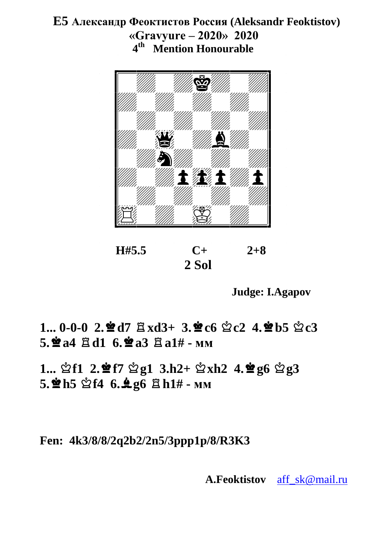## **E5 Александр Феоктистов Россия (Aleksandr Feoktistov) «Gravyure – 2020» 2020 4 th Mention Honourable**



 $H#5.5$   $C+$   $2+8$  **2 Sol**

**Judge: I.Agapov**

 $1... 0-0-0$   $2.2$  **d**  $7 \text{ Bxd3+} 3.2$ **c**  $6 \text{ } \frac{6}{2}$  **c**  $2 \text{ } 4.2$ **r**  $b5 \text{ } \frac{6}{2}$  **c**  $3$  $5.$ **2** $a4$   $\beta$ d1  $6.$ **2** $a3$   $\beta$  $a1#$  **-**  $mn$ 

 $1...$   $2.1$   $2.2$   $13.12 + 21.12$   $4.2$   $96$   $2.23$  $5.\n$ **2h5 2f4 6.** $\clubsuit$  **g6**  $\Xi$  h1# - мм

**Fen: 4k3/8/8/2q2b2/2n5/3ppp1p/8/R3K3**

**A.Feoktistov** [aff\\_sk@mail.ru](mailto:aff_sk@mail.ru)